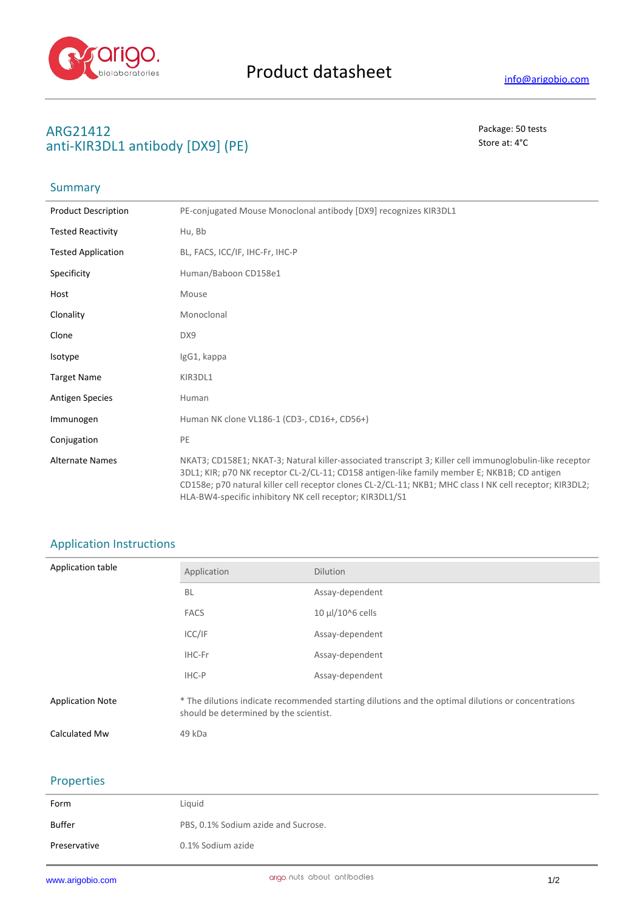

## **ARG21412** Package: 50 tests **anti-KIR3DL1 antibody [DX9] (PE)** Store at: 4°C

### **Summary**

| <b>Product Description</b> | PE-conjugated Mouse Monoclonal antibody [DX9] recognizes KIR3DL1                                                                                                                                                                                                                                                                                                                 |
|----------------------------|----------------------------------------------------------------------------------------------------------------------------------------------------------------------------------------------------------------------------------------------------------------------------------------------------------------------------------------------------------------------------------|
| <b>Tested Reactivity</b>   | Hu, Bb                                                                                                                                                                                                                                                                                                                                                                           |
| <b>Tested Application</b>  | BL, FACS, ICC/IF, IHC-Fr, IHC-P                                                                                                                                                                                                                                                                                                                                                  |
| Specificity                | Human/Baboon CD158e1                                                                                                                                                                                                                                                                                                                                                             |
| Host                       | Mouse                                                                                                                                                                                                                                                                                                                                                                            |
| Clonality                  | Monoclonal                                                                                                                                                                                                                                                                                                                                                                       |
| Clone                      | DX9                                                                                                                                                                                                                                                                                                                                                                              |
| Isotype                    | IgG1, kappa                                                                                                                                                                                                                                                                                                                                                                      |
| <b>Target Name</b>         | KIR3DL1                                                                                                                                                                                                                                                                                                                                                                          |
| Antigen Species            | Human                                                                                                                                                                                                                                                                                                                                                                            |
| Immunogen                  | Human NK clone VL186-1 (CD3-, CD16+, CD56+)                                                                                                                                                                                                                                                                                                                                      |
| Conjugation                | PE                                                                                                                                                                                                                                                                                                                                                                               |
| <b>Alternate Names</b>     | NKAT3; CD158E1; NKAT-3; Natural killer-associated transcript 3; Killer cell immunoglobulin-like receptor<br>3DL1; KIR; p70 NK receptor CL-2/CL-11; CD158 antigen-like family member E; NKB1B; CD antigen<br>CD158e; p70 natural killer cell receptor clones CL-2/CL-11; NKB1; MHC class I NK cell receptor; KIR3DL2;<br>HLA-BW4-specific inhibitory NK cell receptor; KIR3DL1/S1 |

# Application Instructions

| Application table       | Application                                                                                                                                   | <b>Dilution</b>       |
|-------------------------|-----------------------------------------------------------------------------------------------------------------------------------------------|-----------------------|
|                         | <b>BL</b>                                                                                                                                     | Assay-dependent       |
|                         | <b>FACS</b>                                                                                                                                   | $10 \mu$ l/10^6 cells |
|                         | ICC/IF                                                                                                                                        | Assay-dependent       |
|                         | IHC-Fr                                                                                                                                        | Assay-dependent       |
|                         | IHC-P                                                                                                                                         | Assay-dependent       |
| <b>Application Note</b> | * The dilutions indicate recommended starting dilutions and the optimal dilutions or concentrations<br>should be determined by the scientist. |                       |
| Calculated Mw           | 49 kDa                                                                                                                                        |                       |

## Properties

| Form         | Liquid                              |
|--------------|-------------------------------------|
| Buffer       | PBS, 0.1% Sodium azide and Sucrose. |
| Preservative | 0.1% Sodium azide                   |